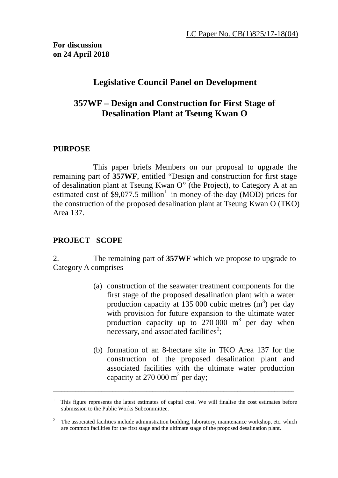# **Legislative Council Panel on Development**

# **357WF – Design and Construction for First Stage of Desalination Plant at Tseung Kwan O**

#### **PURPOSE**

This paper briefs Members on our proposal to upgrade the remaining part of **357WF**, entitled "Design and construction for first stage of desalination plant at Tseung Kwan O" (the Project), to Category A at an estimated cost of \$9,077.5 million<sup>[1](#page-0-0)</sup> in money-of-the-day (MOD) prices for the construction of the proposed desalination plant at Tseung Kwan O (TKO) Area 137.

### **PROJECT SCOPE**

2. The remaining part of **357WF** which we propose to upgrade to Category A comprises –

- (a) construction of the seawater treatment components for the first stage of the proposed desalination plant with a water production capacity at 135 000 cubic metres  $(m<sup>3</sup>)$  per day with provision for future expansion to the ultimate water production capacity up to  $270,000$  m<sup>3</sup> per day when necessary, and associated facilities<sup>[2](#page-0-1)</sup>;
- (b) formation of an 8-hectare site in TKO Area 137 for the construction of the proposed desalination plant and associated facilities with the ultimate water production capacity at 270 000  $m<sup>3</sup>$  per day;

<span id="page-0-0"></span><sup>1</sup> This figure represents the latest estimates of capital cost. We will finalise the cost estimates before submission to the Public Works Subcommittee.

<span id="page-0-1"></span><sup>&</sup>lt;sup>2</sup> The associated facilities include administration building, laboratory, maintenance workshop, etc. which are common facilities for the first stage and the ultimate stage of the proposed desalination plant.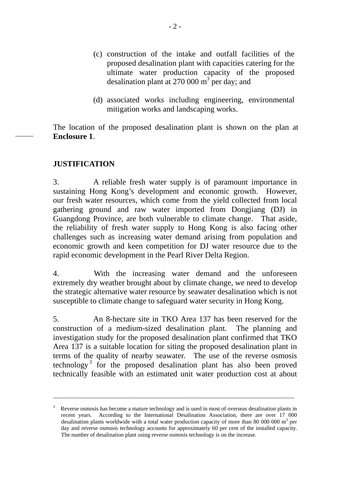- (c) construction of the intake and outfall facilities of the proposed desalination plant with capacities catering for the ultimate water production capacity of the proposed desalination plant at 270 000  $m<sup>3</sup>$  per day; and
- (d) associated works including engineering, environmental mitigation works and landscaping works.

The location of the proposed desalination plant is shown on the plan at **Enclosure 1**.

#### **JUSTIFICATION**

3. A reliable fresh water supply is of paramount importance in sustaining Hong Kong's development and economic growth. However, our fresh water resources, which come from the yield collected from local gathering ground and raw water imported from Dongjiang (DJ) in Guangdong Province, are both vulnerable to climate change. That aside, the reliability of fresh water supply to Hong Kong is also facing other challenges such as increasing water demand arising from population and economic growth and keen competition for DJ water resource due to the rapid economic development in the Pearl River Delta Region.

4. With the increasing water demand and the unforeseen extremely dry weather brought about by climate change, we need to develop the strategic alternative water resource by seawater desalination which is not susceptible to climate change to safeguard water security in Hong Kong.

5. An 8-hectare site in TKO Area 137 has been reserved for the construction of a medium-sized desalination plant. The planning and investigation study for the proposed desalination plant confirmed that TKO Area 137 is a suitable location for siting the proposed desalination plant in terms of the quality of nearby seawater. The use of the reverse osmosis technology<sup>[3](#page-1-0)</sup> for the proposed desalination plant has also been proved technically feasible with an estimated unit water production cost at about

<span id="page-1-0"></span><sup>3</sup> Reverse osmosis has become a mature technology and is used in most of overseas desalination plants in recent years. According to the International Desalination Association, there are over 17 000 desalination plants worldwide with a total water production capacity of more than 80 000 000  $\mathrm{m}^3$  per day and reverse osmosis technology accounts for approximately 60 per cent of the installed capacity. The number of desalination plant using reverse osmosis technology is on the increase.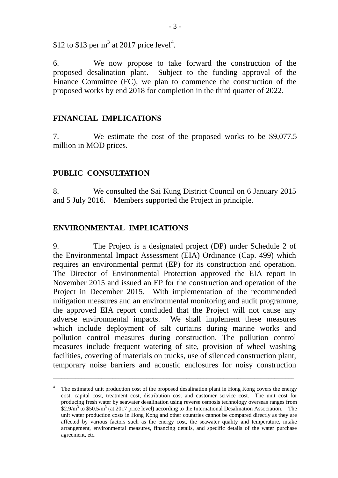\$12 to \$13 per  $m^3$  at 2017 price level<sup>[4](#page-2-0)</sup>.

6. We now propose to take forward the construction of the proposed desalination plant. Subject to the funding approval of the Finance Committee (FC), we plan to commence the construction of the proposed works by end 2018 for completion in the third quarter of 2022.

#### **FINANCIAL IMPLICATIONS**

7. We estimate the cost of the proposed works to be \$9,077.5 million in MOD prices.

#### **PUBLIC CONSULTATION**

8. We consulted the Sai Kung District Council on 6 January 2015 and 5 July 2016. Members supported the Project in principle.

#### **ENVIRONMENTAL IMPLICATIONS**

9. The Project is a designated project (DP) under Schedule 2 of the Environmental Impact Assessment (EIA) Ordinance (Cap. 499) which requires an environmental permit (EP) for its construction and operation. The Director of Environmental Protection approved the EIA report in November 2015 and issued an EP for the construction and operation of the Project in December 2015. With implementation of the recommended mitigation measures and an environmental monitoring and audit programme, the approved EIA report concluded that the Project will not cause any adverse environmental impacts. We shall implement these measures which include deployment of silt curtains during marine works and pollution control measures during construction. The pollution control measures include frequent watering of site, provision of wheel washing facilities, covering of materials on trucks, use of silenced construction plant, temporary noise barriers and acoustic enclosures for noisy construction

<span id="page-2-0"></span><sup>&</sup>lt;sup>4</sup> The estimated unit production cost of the proposed desalination plant in Hong Kong covers the energy cost, capital cost, treatment cost, distribution cost and customer service cost. The unit cost for producing fresh water by seawater desalination using reverse osmosis technology overseas ranges from  $$2.9/m<sup>3</sup>$  to \$50.5/m<sup>3</sup> (at 2017 price level) according to the International Desalination Association. The unit water production costs in Hong Kong and other countries cannot be compared directly as they are affected by various factors such as the energy cost, the seawater quality and temperature, intake arrangement, environmental measures, financing details, and specific details of the water purchase agreement, etc.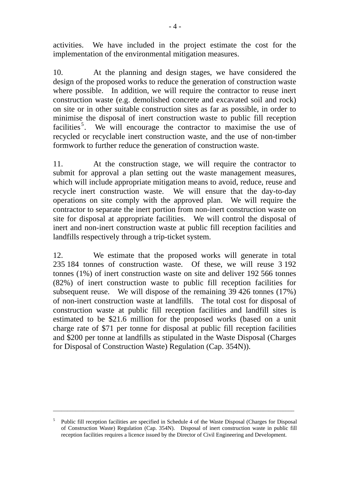activities. We have included in the project estimate the cost for the implementation of the environmental mitigation measures.

10. At the planning and design stages, we have considered the design of the proposed works to reduce the generation of construction waste where possible. In addition, we will require the contractor to reuse inert construction waste (e.g. demolished concrete and excavated soil and rock) on site or in other suitable construction sites as far as possible, in order to minimise the disposal of inert construction waste to public fill reception facilities<sup>[5](#page-3-0)</sup>. We will encourage the contractor to maximise the use of recycled or recyclable inert construction waste, and the use of non-timber formwork to further reduce the generation of construction waste.

11. At the construction stage, we will require the contractor to submit for approval a plan setting out the waste management measures, which will include appropriate mitigation means to avoid, reduce, reuse and recycle inert construction waste. We will ensure that the day-to-day operations on site comply with the approved plan. We will require the contractor to separate the inert portion from non-inert construction waste on site for disposal at appropriate facilities. We will control the disposal of inert and non-inert construction waste at public fill reception facilities and landfills respectively through a trip-ticket system.

12. We estimate that the proposed works will generate in total 235 184 tonnes of construction waste. Of these, we will reuse 3 192 tonnes (1%) of inert construction waste on site and deliver 192 566 tonnes (82%) of inert construction waste to public fill reception facilities for subsequent reuse. We will dispose of the remaining 39 426 tonnes (17%) of non-inert construction waste at landfills. The total cost for disposal of construction waste at public fill reception facilities and landfill sites is estimated to be \$21.6 million for the proposed works (based on a unit charge rate of \$71 per tonne for disposal at public fill reception facilities and \$200 per tonne at landfills as stipulated in the Waste Disposal (Charges for Disposal of Construction Waste) Regulation (Cap. 354N)).

<span id="page-3-0"></span><sup>5</sup> Public fill reception facilities are specified in Schedule 4 of the Waste Disposal (Charges for Disposal of Construction Waste) Regulation (Cap. 354N). Disposal of inert construction waste in public fill reception facilities requires a licence issued by the Director of Civil Engineering and Development.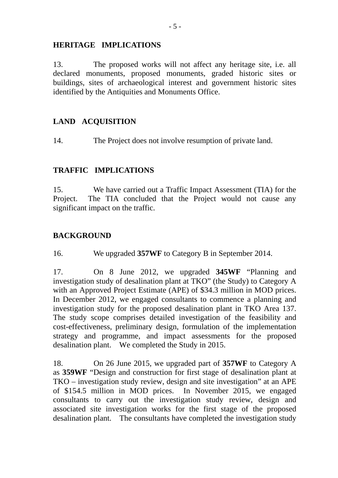#### **HERITAGE IMPLICATIONS**

13. The proposed works will not affect any heritage site, i.e. all declared monuments, proposed monuments, graded historic sites or buildings, sites of archaeological interest and government historic sites identified by the Antiquities and Monuments Office.

### **LAND ACQUISITION**

14. The Project does not involve resumption of private land.

### **TRAFFIC IMPLICATIONS**

15. We have carried out a Traffic Impact Assessment (TIA) for the Project. The TIA concluded that the Project would not cause any significant impact on the traffic.

## **BACKGROUND**

16. We upgraded **357WF** to Category B in September 2014.

17. On 8 June 2012, we upgraded **345WF** "Planning and investigation study of desalination plant at TKO" (the Study) to Category A with an Approved Project Estimate (APE) of \$34.3 million in MOD prices. In December 2012, we engaged consultants to commence a planning and investigation study for the proposed desalination plant in TKO Area 137. The study scope comprises detailed investigation of the feasibility and cost-effectiveness, preliminary design, formulation of the implementation strategy and programme, and impact assessments for the proposed desalination plant. We completed the Study in 2015.

18. On 26 June 2015, we upgraded part of **357WF** to Category A as **359WF** "Design and construction for first stage of desalination plant at TKO – investigation study review, design and site investigation" at an APE of \$154.5 million in MOD prices. In November 2015, we engaged consultants to carry out the investigation study review, design and associated site investigation works for the first stage of the proposed desalination plant. The consultants have completed the investigation study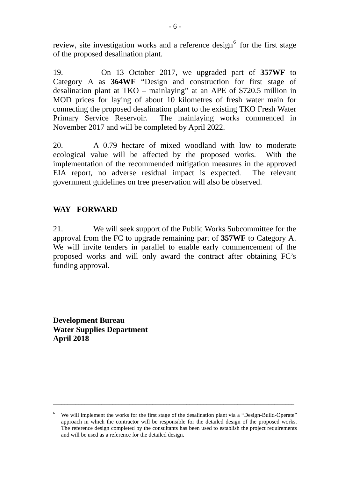review, site investigation works and a reference design<sup>[6](#page-5-0)</sup> for the first stage of the proposed desalination plant.

19. On 13 October 2017, we upgraded part of **357WF** to Category A as **364WF** "Design and construction for first stage of desalination plant at TKO – mainlaying" at an APE of \$720.5 million in MOD prices for laying of about 10 kilometres of fresh water main for connecting the proposed desalination plant to the existing TKO Fresh Water Primary Service Reservoir. The mainlaying works commenced in November 2017 and will be completed by April 2022.

20. A 0.79 hectare of mixed woodland with low to moderate ecological value will be affected by the proposed works. With the implementation of the recommended mitigation measures in the approved EIA report, no adverse residual impact is expected. The relevant government guidelines on tree preservation will also be observed.

### **WAY FORWARD**

21. We will seek support of the Public Works Subcommittee for the approval from the FC to upgrade remaining part of **357WF** to Category A. We will invite tenders in parallel to enable early commencement of the proposed works and will only award the contract after obtaining FC's funding approval.

**Development Bureau Water Supplies Department April 2018**

<span id="page-5-0"></span><sup>&</sup>lt;sup>6</sup> We will implement the works for the first stage of the desalination plant via a "Design-Build-Operate" approach in which the contractor will be responsible for the detailed design of the proposed works. The reference design completed by the consultants has been used to establish the project requirements and will be used as a reference for the detailed design.